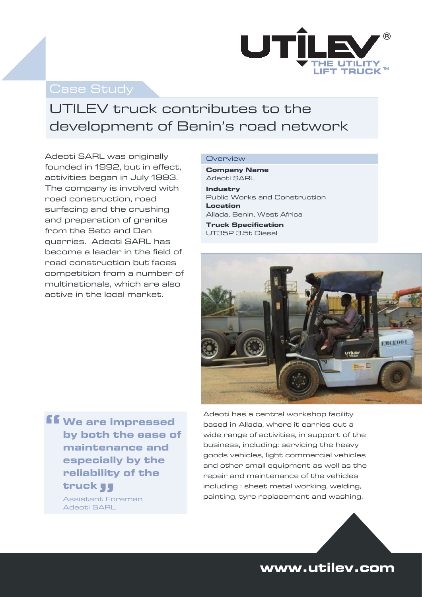

### Case Study

## UTILEV truck contributes to the development of Benin's road network

Adeoti SARL was originally founded in 1992, but in effect, activities began in July 1993. The company is involved with road construction, road surfacing and the crushing and preparation of granite from the Seto and Dan quarries. Adeoti SARL has become a leader in the field of road construction but faces competition from a number of multinationals, which are also active in the local market.

#### **Overview**

**Company Name**  Adeoti SARL **Industry** Public Works and Construction **Location**  Allada, Benin, West Africa

**Truck Specification**  UT35P 3.5t Diesel



**We are impressed by both the ease of maintenance and especially by the reliability of the truck 33** Assistant Foreman Adeoti SARL **"**

Adeoti has a central workshop facility based in Allada, where it carries out a wide range of activities, in support of the business, including: servicing the heavy goods vehicles, light commercial vehicles and other small equipment as well as the repair and maintenance of the vehicles including : sheet metal working, welding, painting, tyre replacement and washing.



## **www.utilev.com**